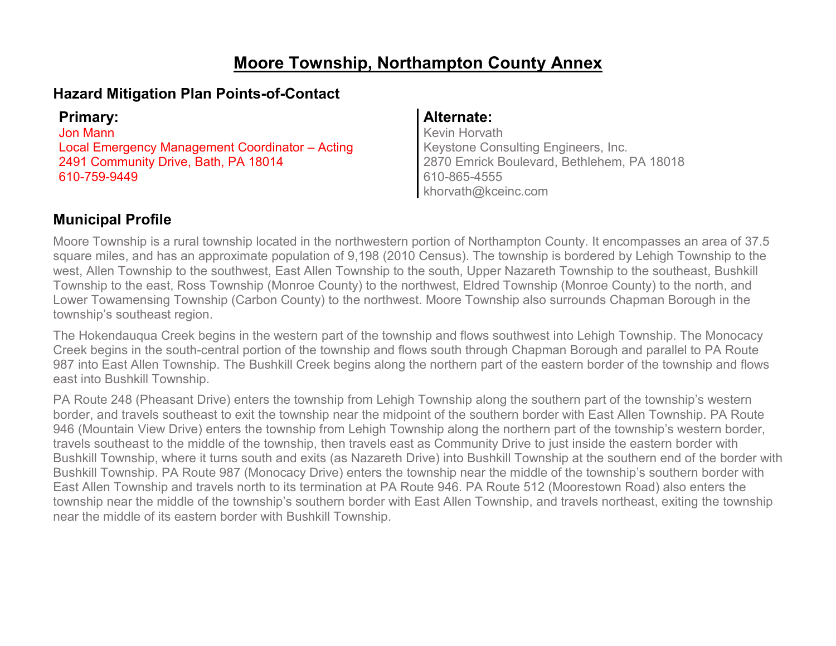# **Moore Township, Northampton County Annex**

### **Hazard Mitigation Plan Points-of-Contact**

Jon Mann Local Emergency Management Coordinator – Acting 2491 Community Drive, Bath, PA 18014 610-759-9449

#### **Primary: Alternate:**

Kevin Horvath Keystone Consulting Engineers, Inc. 2870 Emrick Boulevard, Bethlehem, PA 18018 610-865-4555 khorvath@kceinc.com

### **Municipal Profile**

Moore Township is a rural township located in the northwestern portion of Northampton County. It encompasses an area of 37.5 square miles, and has an approximate population of 9,198 (2010 Census). The township is bordered by Lehigh Township to the west, Allen Township to the southwest, East Allen Township to the south, Upper Nazareth Township to the southeast, Bushkill Township to the east, Ross Township (Monroe County) to the northwest, Eldred Township (Monroe County) to the north, and Lower Towamensing Township (Carbon County) to the northwest. Moore Township also surrounds Chapman Borough in the township's southeast region.

The Hokendauqua Creek begins in the western part of the township and flows southwest into Lehigh Township. The Monocacy Creek begins in the south-central portion of the township and flows south through Chapman Borough and parallel to PA Route 987 into East Allen Township. The Bushkill Creek begins along the northern part of the eastern border of the township and flows east into Bushkill Township.

PA Route 248 (Pheasant Drive) enters the township from Lehigh Township along the southern part of the township's western border, and travels southeast to exit the township near the midpoint of the southern border with East Allen Township. PA Route 946 (Mountain View Drive) enters the township from Lehigh Township along the northern part of the township's western border, travels southeast to the middle of the township, then travels east as Community Drive to just inside the eastern border with Bushkill Township, where it turns south and exits (as Nazareth Drive) into Bushkill Township at the southern end of the border with Bushkill Township. PA Route 987 (Monocacy Drive) enters the township near the middle of the township's southern border with East Allen Township and travels north to its termination at PA Route 946. PA Route 512 (Moorestown Road) also enters the township near the middle of the township's southern border with East Allen Township, and travels northeast, exiting the township near the middle of its eastern border with Bushkill Township.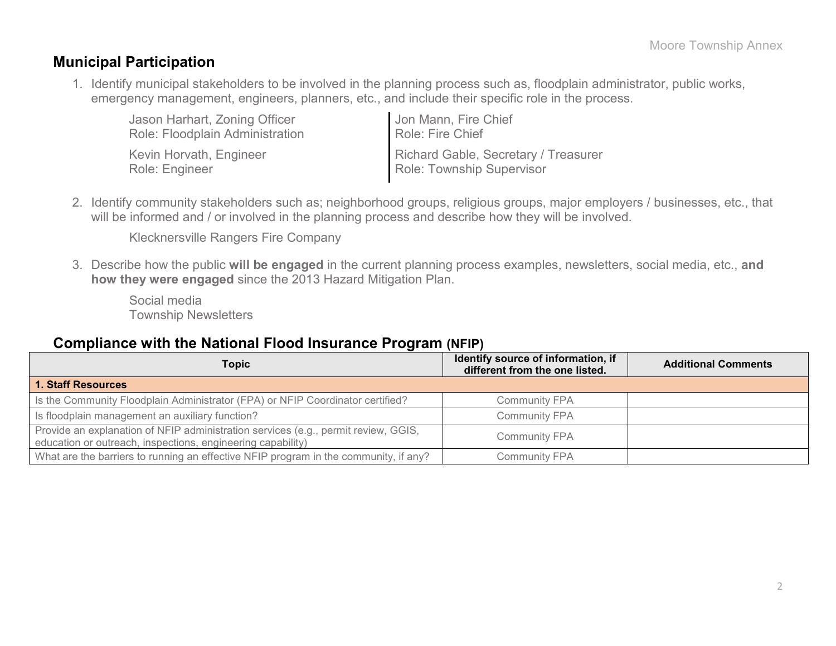### **Municipal Participation**

1. Identify municipal stakeholders to be involved in the planning process such as, floodplain administrator, public works, emergency management, engineers, planners, etc., and include their specific role in the process.

| Jason Harhart, Zoning Officer   | Jon Mann, Fire Chief                 |
|---------------------------------|--------------------------------------|
| Role: Floodplain Administration | Role: Fire Chief                     |
| Kevin Horvath, Engineer         | Richard Gable, Secretary / Treasurer |
| Role: Engineer                  | Role: Township Supervisor            |

2. Identify community stakeholders such as; neighborhood groups, religious groups, major employers / businesses, etc., that will be informed and / or involved in the planning process and describe how they will be involved.

Klecknersville Rangers Fire Company

3. Describe how the public **will be engaged** in the current planning process examples, newsletters, social media, etc., **and how they were engaged** since the 2013 Hazard Mitigation Plan.

Social media Township Newsletters

### **Compliance with the National Flood Insurance Program (NFIP)**

| Topic                                                                                                                                             | Identify source of information, if<br>different from the one listed. | <b>Additional Comments</b> |
|---------------------------------------------------------------------------------------------------------------------------------------------------|----------------------------------------------------------------------|----------------------------|
| 1. Staff Resources                                                                                                                                |                                                                      |                            |
| Is the Community Floodplain Administrator (FPA) or NFIP Coordinator certified?                                                                    | <b>Community FPA</b>                                                 |                            |
| Is floodplain management an auxiliary function?                                                                                                   | <b>Community FPA</b>                                                 |                            |
| Provide an explanation of NFIP administration services (e.g., permit review, GGIS,<br>education or outreach, inspections, engineering capability) | <b>Community FPA</b>                                                 |                            |
| What are the barriers to running an effective NFIP program in the community, if any?                                                              | <b>Community FPA</b>                                                 |                            |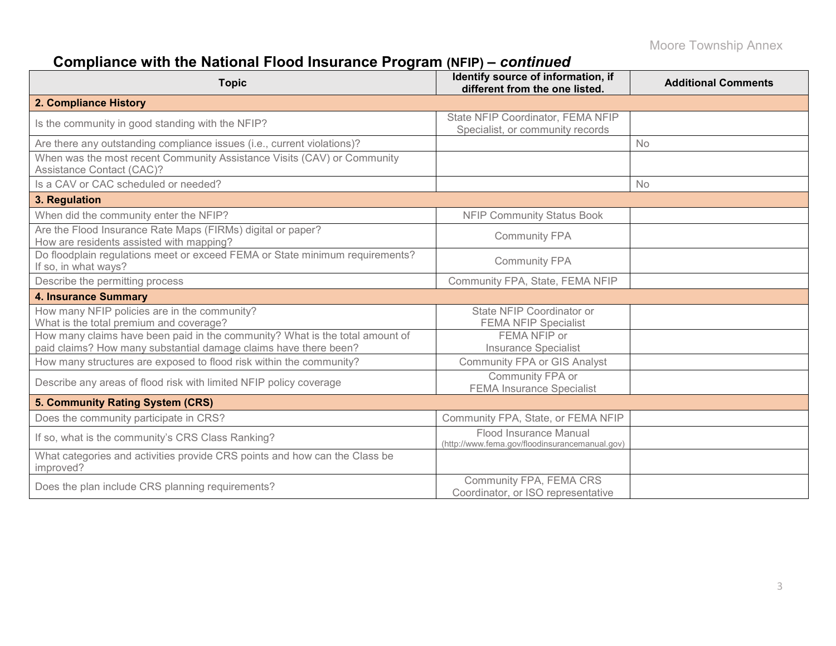# **Compliance with the National Flood Insurance Program (NFIP) –** *continued*

| <b>Topic</b>                                                                                                                                     | Identify source of information, if<br>different from the one listed.     | <b>Additional Comments</b> |
|--------------------------------------------------------------------------------------------------------------------------------------------------|--------------------------------------------------------------------------|----------------------------|
| 2. Compliance History                                                                                                                            |                                                                          |                            |
| Is the community in good standing with the NFIP?                                                                                                 | State NFIP Coordinator, FEMA NFIP<br>Specialist, or community records    |                            |
| Are there any outstanding compliance issues (i.e., current violations)?                                                                          |                                                                          | <b>No</b>                  |
| When was the most recent Community Assistance Visits (CAV) or Community<br>Assistance Contact (CAC)?                                             |                                                                          |                            |
| Is a CAV or CAC scheduled or needed?                                                                                                             |                                                                          | <b>No</b>                  |
| 3. Regulation                                                                                                                                    |                                                                          |                            |
| When did the community enter the NFIP?                                                                                                           | <b>NFIP Community Status Book</b>                                        |                            |
| Are the Flood Insurance Rate Maps (FIRMs) digital or paper?<br>How are residents assisted with mapping?                                          | <b>Community FPA</b>                                                     |                            |
| Do floodplain regulations meet or exceed FEMA or State minimum requirements?<br>If so, in what ways?                                             | <b>Community FPA</b>                                                     |                            |
| Describe the permitting process                                                                                                                  | Community FPA, State, FEMA NFIP                                          |                            |
| <b>4. Insurance Summary</b>                                                                                                                      |                                                                          |                            |
| How many NFIP policies are in the community?<br>What is the total premium and coverage?                                                          | State NFIP Coordinator or<br><b>FEMA NFIP Specialist</b>                 |                            |
| How many claims have been paid in the community? What is the total amount of<br>paid claims? How many substantial damage claims have there been? | FEMA NFIP or<br><b>Insurance Specialist</b>                              |                            |
| How many structures are exposed to flood risk within the community?                                                                              | <b>Community FPA or GIS Analyst</b>                                      |                            |
| Describe any areas of flood risk with limited NFIP policy coverage                                                                               | Community FPA or<br><b>FEMA Insurance Specialist</b>                     |                            |
| 5. Community Rating System (CRS)                                                                                                                 |                                                                          |                            |
| Does the community participate in CRS?                                                                                                           | Community FPA, State, or FEMA NFIP                                       |                            |
| If so, what is the community's CRS Class Ranking?                                                                                                | Flood Insurance Manual<br>(http://www.fema.gov/floodinsurancemanual.gov) |                            |
| What categories and activities provide CRS points and how can the Class be<br>improved?                                                          |                                                                          |                            |
| Does the plan include CRS planning requirements?                                                                                                 | Community FPA, FEMA CRS<br>Coordinator, or ISO representative            |                            |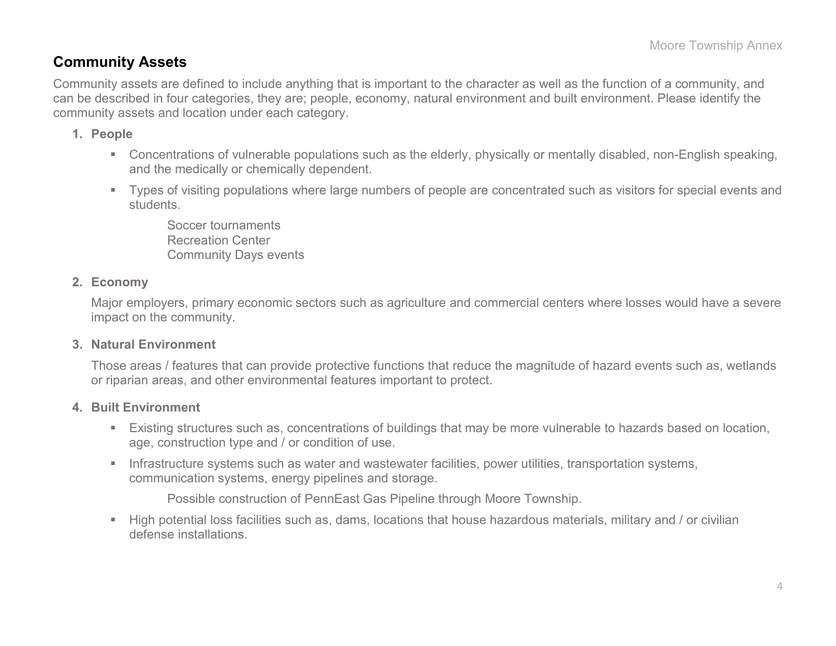### **Community Assets**

Community assets are defined to include anything that is important to the character as well as the function of a community, and can be described in four categories, they are; people, economy, natural environment and built environment. Please identify the community assets and location under each category.

#### **1. People**

- Concentrations of vulnerable populations such as the elderly, physically or mentally disabled, non-English speaking, and the medically or chemically dependent.
- Types of visiting populations where large numbers of people are concentrated such as visitors for special events and students.

Soccer tournaments Recreation Center Community Days events

#### **2. Economy**

Major employers, primary economic sectors such as agriculture and commercial centers where losses would have a severe impact on the community.

#### **3. Natural Environment**

Those areas / features that can provide protective functions that reduce the magnitude of hazard events such as, wetlands or riparian areas, and other environmental features important to protect.

#### **4. Built Environment**

- Existing structures such as, concentrations of buildings that may be more vulnerable to hazards based on location, age, construction type and / or condition of use.
- **Infrastructure systems such as water and wastewater facilities, power utilities, transportation systems,** communication systems, energy pipelines and storage.

Possible construction of PennEast Gas Pipeline through Moore Township.

 High potential loss facilities such as, dams, locations that house hazardous materials, military and / or civilian defense installations.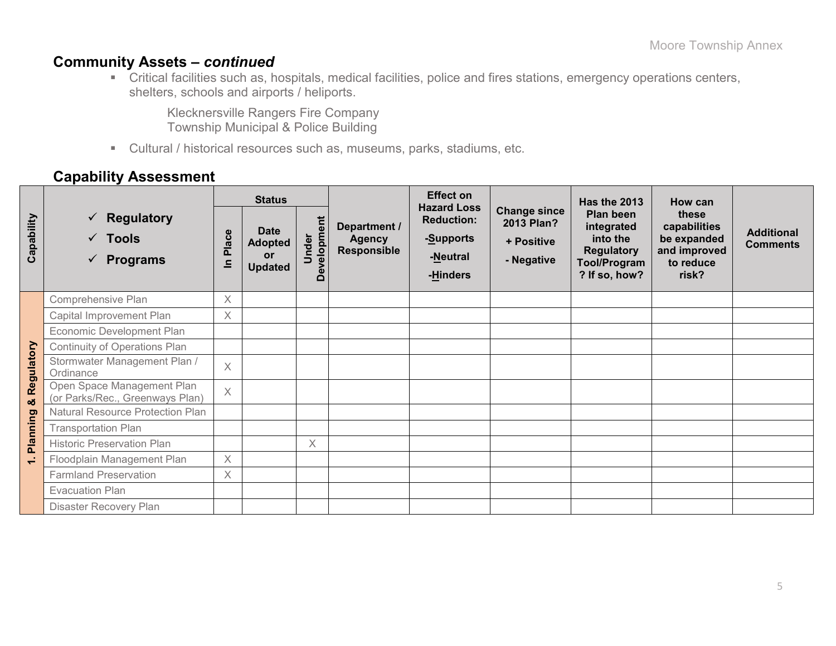## **Community Assets –** *continued*

 Critical facilities such as, hospitals, medical facilities, police and fires stations, emergency operations centers, shelters, schools and airports / heliports.

Klecknersville Rangers Fire Company Township Municipal & Police Building

Cultural / historical resources such as, museums, parks, stadiums, etc.

### **Capability Assessment**

|                          |                                                                             | <b>Status</b> |                                                       |                      |                                                     | <b>Effect on</b>                                                             |                                                               | Has the 2013                                                                                     | How can                                                                    |                                      |  |
|--------------------------|-----------------------------------------------------------------------------|---------------|-------------------------------------------------------|----------------------|-----------------------------------------------------|------------------------------------------------------------------------------|---------------------------------------------------------------|--------------------------------------------------------------------------------------------------|----------------------------------------------------------------------------|--------------------------------------|--|
| Capability               | $\checkmark$ Regulatory<br>$\sqrt{ }$ Tools<br><b>Programs</b><br>$\sqrt{}$ | Place<br>르    | <b>Date</b><br><b>Adopted</b><br>or<br><b>Updated</b> | Development<br>Under | Department /<br><b>Agency</b><br><b>Responsible</b> | <b>Hazard Loss</b><br><b>Reduction:</b><br>-Supports<br>-Neutral<br>-Hinders | <b>Change since</b><br>2013 Plan?<br>+ Positive<br>- Negative | Plan been<br>integrated<br>into the<br><b>Regulatory</b><br><b>Tool/Program</b><br>? If so, how? | these<br>capabilities<br>be expanded<br>and improved<br>to reduce<br>risk? | <b>Additional</b><br><b>Comments</b> |  |
|                          | Comprehensive Plan                                                          | X             |                                                       |                      |                                                     |                                                                              |                                                               |                                                                                                  |                                                                            |                                      |  |
|                          | Capital Improvement Plan                                                    | Χ             |                                                       |                      |                                                     |                                                                              |                                                               |                                                                                                  |                                                                            |                                      |  |
|                          | Economic Development Plan                                                   |               |                                                       |                      |                                                     |                                                                              |                                                               |                                                                                                  |                                                                            |                                      |  |
|                          | <b>Continuity of Operations Plan</b>                                        |               |                                                       |                      |                                                     |                                                                              |                                                               |                                                                                                  |                                                                            |                                      |  |
| Regulatory               | Stormwater Management Plan /<br>Ordinance                                   | $\times$      |                                                       |                      |                                                     |                                                                              |                                                               |                                                                                                  |                                                                            |                                      |  |
| oð                       | Open Space Management Plan<br>(or Parks/Rec., Greenways Plan)               | $\times$      |                                                       |                      |                                                     |                                                                              |                                                               |                                                                                                  |                                                                            |                                      |  |
|                          | Natural Resource Protection Plan                                            |               |                                                       |                      |                                                     |                                                                              |                                                               |                                                                                                  |                                                                            |                                      |  |
| Planning                 | <b>Transportation Plan</b>                                                  |               |                                                       |                      |                                                     |                                                                              |                                                               |                                                                                                  |                                                                            |                                      |  |
|                          | <b>Historic Preservation Plan</b>                                           |               |                                                       | $\times$             |                                                     |                                                                              |                                                               |                                                                                                  |                                                                            |                                      |  |
| $\overline{\phantom{0}}$ | Floodplain Management Plan                                                  | $\times$      |                                                       |                      |                                                     |                                                                              |                                                               |                                                                                                  |                                                                            |                                      |  |
|                          | <b>Farmland Preservation</b>                                                | $\times$      |                                                       |                      |                                                     |                                                                              |                                                               |                                                                                                  |                                                                            |                                      |  |
|                          | <b>Evacuation Plan</b>                                                      |               |                                                       |                      |                                                     |                                                                              |                                                               |                                                                                                  |                                                                            |                                      |  |
|                          | Disaster Recovery Plan                                                      |               |                                                       |                      |                                                     |                                                                              |                                                               |                                                                                                  |                                                                            |                                      |  |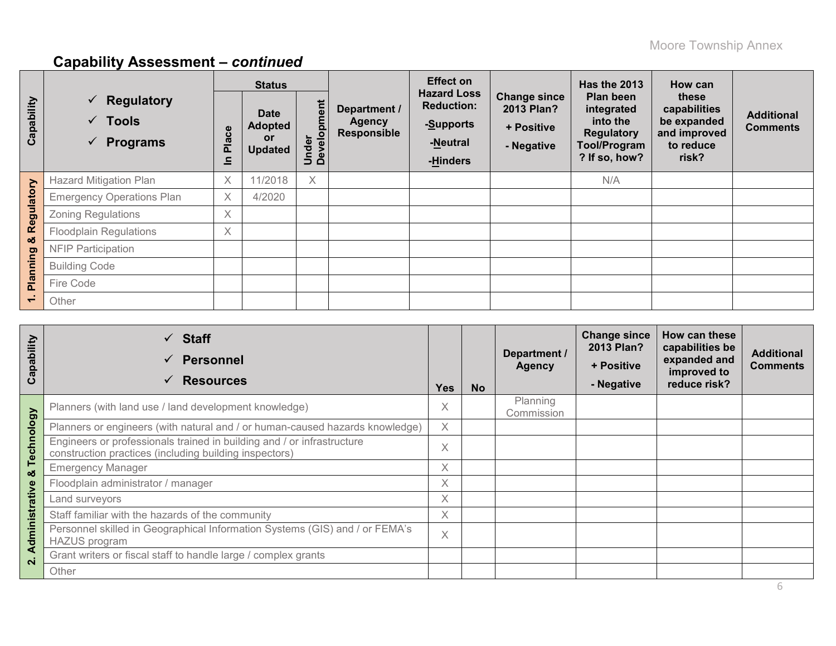# **Capability Assessment –** *continued*

|            |                                                                                  | <b>Status</b>                     |                                                       |                      |                                                     | <b>Effect on</b>                                                             |                                                               | <b>Has the 2013</b>                                                                                     | How can                                                                    |                                      |
|------------|----------------------------------------------------------------------------------|-----------------------------------|-------------------------------------------------------|----------------------|-----------------------------------------------------|------------------------------------------------------------------------------|---------------------------------------------------------------|---------------------------------------------------------------------------------------------------------|----------------------------------------------------------------------------|--------------------------------------|
| Capability | $\checkmark$ Regulatory<br>$\checkmark$ Tools<br><b>Programs</b><br>$\checkmark$ | ace<br>$\ddot{\overline{a}}$<br>드 | <b>Date</b><br><b>Adopted</b><br>or<br><b>Updated</b> | Under<br>Development | Department /<br><b>Agency</b><br><b>Responsible</b> | <b>Hazard Loss</b><br><b>Reduction:</b><br>-Supports<br>-Neutral<br>-Hinders | <b>Change since</b><br>2013 Plan?<br>+ Positive<br>- Negative | <b>Plan been</b><br>integrated<br>into the<br><b>Regulatory</b><br><b>Tool/Program</b><br>? If so, how? | these<br>capabilities<br>be expanded<br>and improved<br>to reduce<br>risk? | <b>Additional</b><br><b>Comments</b> |
|            | <b>Hazard Mitigation Plan</b>                                                    | X                                 | 11/2018                                               | Χ                    |                                                     |                                                                              |                                                               | N/A                                                                                                     |                                                                            |                                      |
|            | <b>Emergency Operations Plan</b>                                                 | $\times$                          | 4/2020                                                |                      |                                                     |                                                                              |                                                               |                                                                                                         |                                                                            |                                      |
| Regulatory | <b>Zoning Regulations</b>                                                        | $\times$                          |                                                       |                      |                                                     |                                                                              |                                                               |                                                                                                         |                                                                            |                                      |
|            | <b>Floodplain Regulations</b>                                                    | $\times$                          |                                                       |                      |                                                     |                                                                              |                                                               |                                                                                                         |                                                                            |                                      |
| ಯ          | <b>NFIP Participation</b>                                                        |                                   |                                                       |                      |                                                     |                                                                              |                                                               |                                                                                                         |                                                                            |                                      |
|            | <b>Building Code</b>                                                             |                                   |                                                       |                      |                                                     |                                                                              |                                                               |                                                                                                         |                                                                            |                                      |
| Planning   | Fire Code                                                                        |                                   |                                                       |                      |                                                     |                                                                              |                                                               |                                                                                                         |                                                                            |                                      |
|            | Other                                                                            |                                   |                                                       |                      |                                                     |                                                                              |                                                               |                                                                                                         |                                                                            |                                      |

| Capability     | <b>Staff</b><br>✓<br><b>Personnel</b><br>$\checkmark$<br><b>Resources</b><br>$\checkmark$                                        | <b>Yes</b> | <b>No</b> | Department /<br><b>Agency</b> | <b>Change since</b><br>2013 Plan?<br>+ Positive<br>- Negative | How can these<br>capabilities be<br>expanded and<br>improved to<br>reduce risk? | <b>Additional</b><br><b>Comments</b> |
|----------------|----------------------------------------------------------------------------------------------------------------------------------|------------|-----------|-------------------------------|---------------------------------------------------------------|---------------------------------------------------------------------------------|--------------------------------------|
|                | Planners (with land use / land development knowledge)                                                                            | X          |           | Planning<br>Commission        |                                                               |                                                                                 |                                      |
|                | Planners or engineers (with natural and / or human-caused hazards knowledge)                                                     | X          |           |                               |                                                               |                                                                                 |                                      |
| Technology     | Engineers or professionals trained in building and / or infrastructure<br>construction practices (including building inspectors) | X          |           |                               |                                                               |                                                                                 |                                      |
| ೲ              | <b>Emergency Manager</b>                                                                                                         | X          |           |                               |                                                               |                                                                                 |                                      |
|                | Floodplain administrator / manager                                                                                               | $\times$   |           |                               |                                                               |                                                                                 |                                      |
|                | Land surveyors                                                                                                                   | X          |           |                               |                                                               |                                                                                 |                                      |
|                | Staff familiar with the hazards of the community                                                                                 | X          |           |                               |                                                               |                                                                                 |                                      |
| Administrative | Personnel skilled in Geographical Information Systems (GIS) and / or FEMA's<br><b>HAZUS</b> program                              | X          |           |                               |                                                               |                                                                                 |                                      |
| $\mathbf{N}$   | Grant writers or fiscal staff to handle large / complex grants                                                                   |            |           |                               |                                                               |                                                                                 |                                      |
|                | Other                                                                                                                            |            |           |                               |                                                               |                                                                                 |                                      |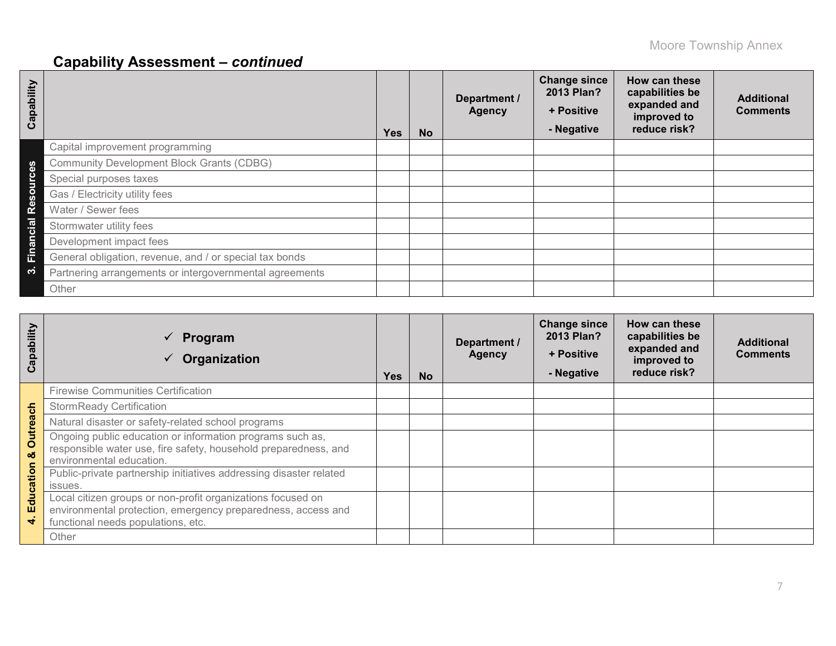# **Capability Assessment –** *continued*

| Capability |                                                         | <b>Yes</b> | <b>No</b> | Department /<br><b>Agency</b> | <b>Change since</b><br>2013 Plan?<br>+ Positive<br>- Negative | How can these<br>capabilities be<br>expanded and<br>improved to<br>reduce risk? | <b>Additional</b><br><b>Comments</b> |
|------------|---------------------------------------------------------|------------|-----------|-------------------------------|---------------------------------------------------------------|---------------------------------------------------------------------------------|--------------------------------------|
|            | Capital improvement programming                         |            |           |                               |                                                               |                                                                                 |                                      |
| 8g         | <b>Community Development Block Grants (CDBG)</b>        |            |           |                               |                                                               |                                                                                 |                                      |
| ပ<br>ã     | Special purposes taxes                                  |            |           |                               |                                                               |                                                                                 |                                      |
| $\circ$    | Gas / Electricity utility fees                          |            |           |                               |                                                               |                                                                                 |                                      |
| <b>es</b>  | Water / Sewer fees                                      |            |           |                               |                                                               |                                                                                 |                                      |
| cial       | Stormwater utility fees                                 |            |           |                               |                                                               |                                                                                 |                                      |
| e<br>ត     | Development impact fees                                 |            |           |                               |                                                               |                                                                                 |                                      |
| Ein        | General obligation, revenue, and / or special tax bonds |            |           |                               |                                                               |                                                                                 |                                      |
| က          | Partnering arrangements or intergovernmental agreements |            |           |                               |                                                               |                                                                                 |                                      |
|            | Other                                                   |            |           |                               |                                                               |                                                                                 |                                      |

| Capability                      | Program<br>$\checkmark$<br>Organization                                                                                                                           | <b>Yes</b> | <b>No</b> | Department /<br><b>Agency</b> | <b>Change since</b><br>2013 Plan?<br>+ Positive<br>- Negative | How can these<br>capabilities be<br>expanded and<br>improved to<br>reduce risk? | <b>Additional</b><br><b>Comments</b> |
|---------------------------------|-------------------------------------------------------------------------------------------------------------------------------------------------------------------|------------|-----------|-------------------------------|---------------------------------------------------------------|---------------------------------------------------------------------------------|--------------------------------------|
|                                 | <b>Firewise Communities Certification</b>                                                                                                                         |            |           |                               |                                                               |                                                                                 |                                      |
|                                 | <b>StormReady Certification</b>                                                                                                                                   |            |           |                               |                                                               |                                                                                 |                                      |
|                                 | Natural disaster or safety-related school programs                                                                                                                |            |           |                               |                                                               |                                                                                 |                                      |
| Outreach<br>ಯ<br>Education<br>₹ | Ongoing public education or information programs such as,<br>responsible water use, fire safety, household preparedness, and<br>environmental education.          |            |           |                               |                                                               |                                                                                 |                                      |
|                                 | Public-private partnership initiatives addressing disaster related<br>issues.                                                                                     |            |           |                               |                                                               |                                                                                 |                                      |
|                                 | Local citizen groups or non-profit organizations focused on<br>environmental protection, emergency preparedness, access and<br>functional needs populations, etc. |            |           |                               |                                                               |                                                                                 |                                      |
|                                 | Other                                                                                                                                                             |            |           |                               |                                                               |                                                                                 |                                      |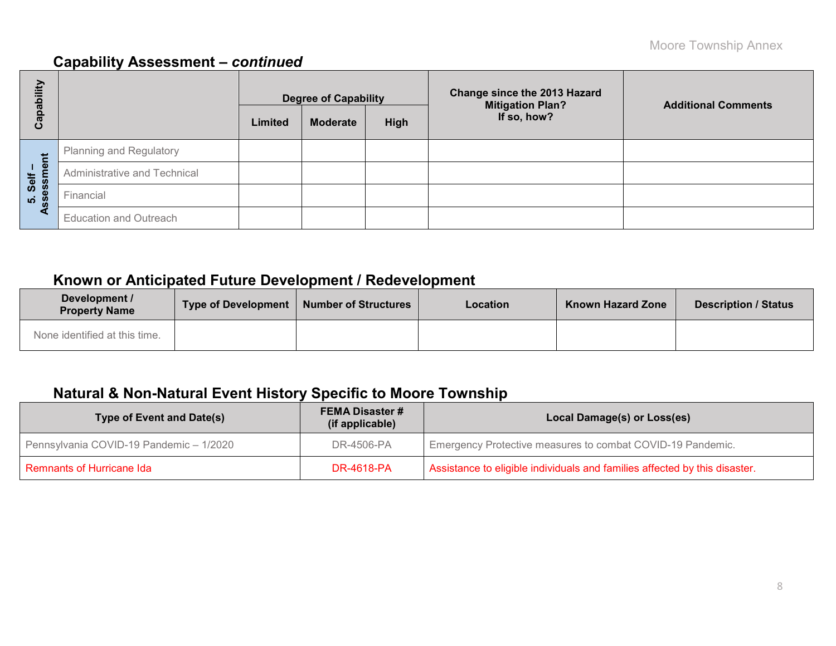## **Capability Assessment –** *continued*

| bility       |                               | <b>Degree of Capability</b> |                 |      | <b>Change since the 2013 Hazard</b><br><b>Mitigation Plan?</b> | <b>Additional Comments</b> |
|--------------|-------------------------------|-----------------------------|-----------------|------|----------------------------------------------------------------|----------------------------|
| Capat        |                               | Limited                     | <b>Moderate</b> | High | If so, how?                                                    |                            |
|              | Planning and Regulatory       |                             |                 |      |                                                                |                            |
| ment<br>Self | Administrative and Technical  |                             |                 |      |                                                                |                            |
| 5. Selt<br>m | Financial                     |                             |                 |      |                                                                |                            |
| ∢            | <b>Education and Outreach</b> |                             |                 |      |                                                                |                            |

## **Known or Anticipated Future Development / Redevelopment**

| Development /<br><b>Property Name</b> | <b>Type of Development</b> | Number of Structures | <b>Location</b> | <b>Known Hazard Zone</b> | <b>Description / Status</b> |
|---------------------------------------|----------------------------|----------------------|-----------------|--------------------------|-----------------------------|
| None identified at this time.         |                            |                      |                 |                          |                             |

## **Natural & Non-Natural Event History Specific to Moore Township**

| <b>Type of Event and Date(s)</b>        | <b>FEMA Disaster #</b><br>(if applicable) | Local Damage(s) or Loss(es)                                                |  |  |  |  |
|-----------------------------------------|-------------------------------------------|----------------------------------------------------------------------------|--|--|--|--|
| Pennsylvania COVID-19 Pandemic - 1/2020 | DR-4506-PA                                | Emergency Protective measures to combat COVID-19 Pandemic.                 |  |  |  |  |
| <b>Remnants of Hurricane Ida</b>        | DR-4618-PA                                | Assistance to eligible individuals and families affected by this disaster. |  |  |  |  |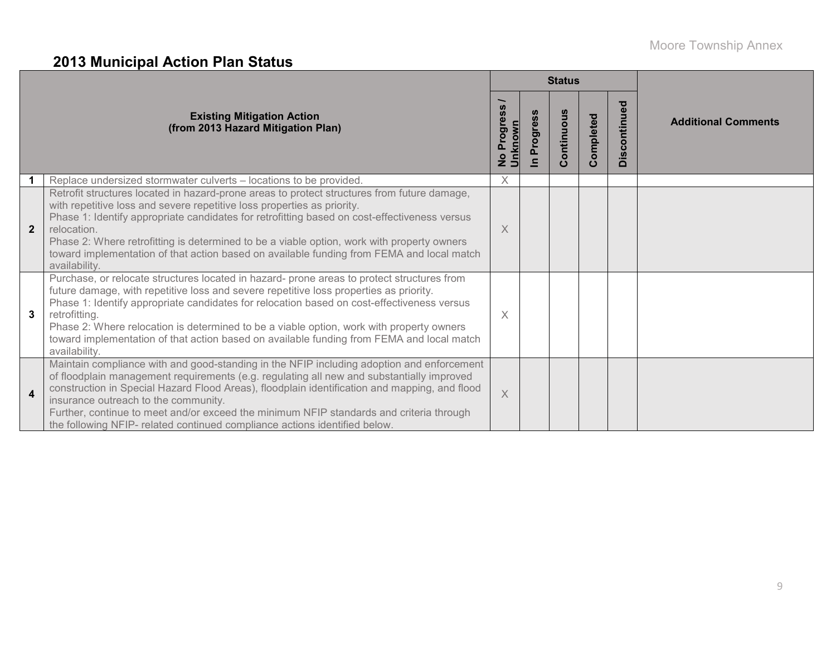# **2013 Municipal Action Plan Status**

|                         |                                                                                                                                                                                                                                                                                                                                                                                                                                                                                                               |                                                    |                           | <b>Status</b>                  |           |                                       |                            |
|-------------------------|---------------------------------------------------------------------------------------------------------------------------------------------------------------------------------------------------------------------------------------------------------------------------------------------------------------------------------------------------------------------------------------------------------------------------------------------------------------------------------------------------------------|----------------------------------------------------|---------------------------|--------------------------------|-----------|---------------------------------------|----------------------------|
|                         | <b>Existing Mitigation Action</b><br>(from 2013 Hazard Mitigation Plan)                                                                                                                                                                                                                                                                                                                                                                                                                                       | <b>S</b><br>Progres<br>No Progre<br><u>Unknown</u> | Progres<br>$\blacksquare$ | ontinuous<br>$\mathbf{\Omega}$ | Completed | <b>ag</b><br>ontinu<br>$\bar{q}$<br>ö | <b>Additional Comments</b> |
|                         | Replace undersized stormwater culverts - locations to be provided.                                                                                                                                                                                                                                                                                                                                                                                                                                            | X                                                  |                           |                                |           |                                       |                            |
| $\overline{2}$          | Retrofit structures located in hazard-prone areas to protect structures from future damage,<br>with repetitive loss and severe repetitive loss properties as priority.<br>Phase 1: Identify appropriate candidates for retrofitting based on cost-effectiveness versus<br>relocation.<br>Phase 2: Where retrofitting is determined to be a viable option, work with property owners<br>toward implementation of that action based on available funding from FEMA and local match<br>availability.             | X                                                  |                           |                                |           |                                       |                            |
| 3                       | Purchase, or relocate structures located in hazard- prone areas to protect structures from<br>future damage, with repetitive loss and severe repetitive loss properties as priority.<br>Phase 1: Identify appropriate candidates for relocation based on cost-effectiveness versus<br>retrofitting.<br>Phase 2: Where relocation is determined to be a viable option, work with property owners<br>toward implementation of that action based on available funding from FEMA and local match<br>availability. | X                                                  |                           |                                |           |                                       |                            |
| $\overline{\mathbf{4}}$ | Maintain compliance with and good-standing in the NFIP including adoption and enforcement<br>of floodplain management requirements (e.g. regulating all new and substantially improved<br>construction in Special Hazard Flood Areas), floodplain identification and mapping, and flood<br>insurance outreach to the community.<br>Further, continue to meet and/or exceed the minimum NFIP standards and criteria through<br>the following NFIP- related continued compliance actions identified below.      | $\times$                                           |                           |                                |           |                                       |                            |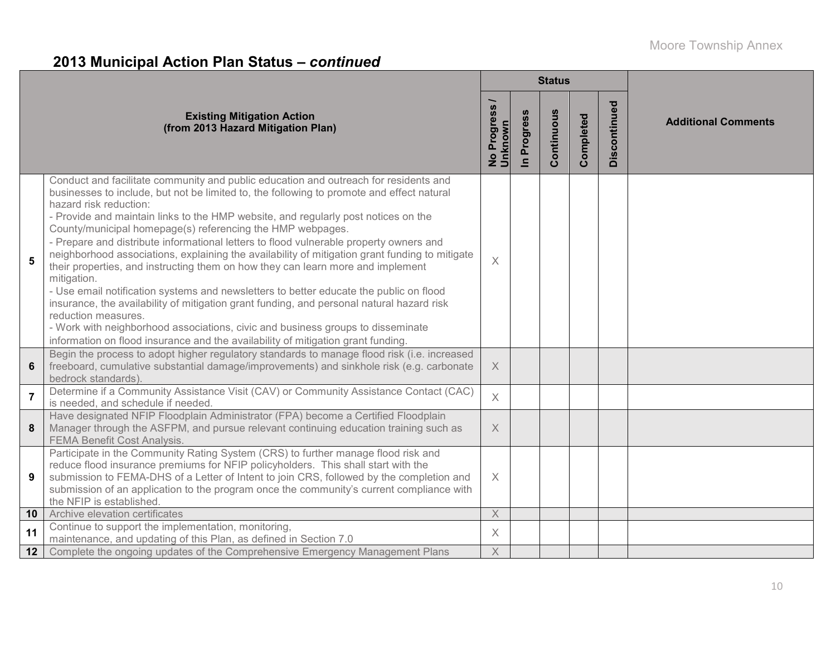# **2013 Municipal Action Plan Status –** *continued*

|                |                                                                                                                                                                                                                                                                                                                                                                                                                                                                                                                                                                                                                                                                                                                                                                                                                                                                                                                                                                                                                                                    |                                     |                          | <b>Status</b> |           |              |                            |
|----------------|----------------------------------------------------------------------------------------------------------------------------------------------------------------------------------------------------------------------------------------------------------------------------------------------------------------------------------------------------------------------------------------------------------------------------------------------------------------------------------------------------------------------------------------------------------------------------------------------------------------------------------------------------------------------------------------------------------------------------------------------------------------------------------------------------------------------------------------------------------------------------------------------------------------------------------------------------------------------------------------------------------------------------------------------------|-------------------------------------|--------------------------|---------------|-----------|--------------|----------------------------|
|                | <b>Existing Mitigation Action</b><br>(from 2013 Hazard Mitigation Plan)                                                                                                                                                                                                                                                                                                                                                                                                                                                                                                                                                                                                                                                                                                                                                                                                                                                                                                                                                                            | Progress<br>nknown<br>$\frac{1}{2}$ | Progress<br>$\mathbf{a}$ | Continuous    | Completed | Discontinued | <b>Additional Comments</b> |
| 5              | Conduct and facilitate community and public education and outreach for residents and<br>businesses to include, but not be limited to, the following to promote and effect natural<br>hazard risk reduction:<br>- Provide and maintain links to the HMP website, and regularly post notices on the<br>County/municipal homepage(s) referencing the HMP webpages.<br>- Prepare and distribute informational letters to flood vulnerable property owners and<br>neighborhood associations, explaining the availability of mitigation grant funding to mitigate<br>their properties, and instructing them on how they can learn more and implement<br>mitigation.<br>- Use email notification systems and newsletters to better educate the public on flood<br>insurance, the availability of mitigation grant funding, and personal natural hazard risk<br>reduction measures.<br>- Work with neighborhood associations, civic and business groups to disseminate<br>information on flood insurance and the availability of mitigation grant funding. | $\times$                            |                          |               |           |              |                            |
| 6              | Begin the process to adopt higher regulatory standards to manage flood risk (i.e. increased<br>freeboard, cumulative substantial damage/improvements) and sinkhole risk (e.g. carbonate<br>bedrock standards).                                                                                                                                                                                                                                                                                                                                                                                                                                                                                                                                                                                                                                                                                                                                                                                                                                     | $\times$                            |                          |               |           |              |                            |
| $\overline{7}$ | Determine if a Community Assistance Visit (CAV) or Community Assistance Contact (CAC)<br>is needed, and schedule if needed.                                                                                                                                                                                                                                                                                                                                                                                                                                                                                                                                                                                                                                                                                                                                                                                                                                                                                                                        | $\times$                            |                          |               |           |              |                            |
| 8              | Have designated NFIP Floodplain Administrator (FPA) become a Certified Floodplain<br>Manager through the ASFPM, and pursue relevant continuing education training such as<br><b>FEMA Benefit Cost Analysis.</b>                                                                                                                                                                                                                                                                                                                                                                                                                                                                                                                                                                                                                                                                                                                                                                                                                                    | $\times$                            |                          |               |           |              |                            |
| 9              | Participate in the Community Rating System (CRS) to further manage flood risk and<br>reduce flood insurance premiums for NFIP policyholders. This shall start with the<br>submission to FEMA-DHS of a Letter of Intent to join CRS, followed by the completion and<br>submission of an application to the program once the community's current compliance with<br>the NFIP is established                                                                                                                                                                                                                                                                                                                                                                                                                                                                                                                                                                                                                                                          | $\times$                            |                          |               |           |              |                            |
| 10             | Archive elevation certificates                                                                                                                                                                                                                                                                                                                                                                                                                                                                                                                                                                                                                                                                                                                                                                                                                                                                                                                                                                                                                     | $\mathsf X$                         |                          |               |           |              |                            |
| 11             | Continue to support the implementation, monitoring,<br>maintenance, and updating of this Plan, as defined in Section 7.0                                                                                                                                                                                                                                                                                                                                                                                                                                                                                                                                                                                                                                                                                                                                                                                                                                                                                                                           | $\times$                            |                          |               |           |              |                            |
| 12             | Complete the ongoing updates of the Comprehensive Emergency Management Plans                                                                                                                                                                                                                                                                                                                                                                                                                                                                                                                                                                                                                                                                                                                                                                                                                                                                                                                                                                       | X                                   |                          |               |           |              |                            |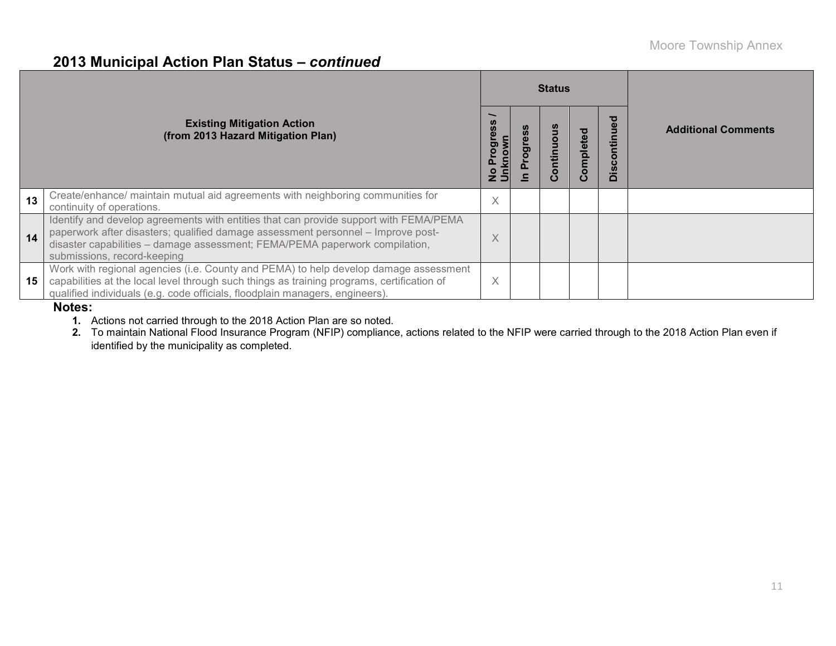### **2013 Municipal Action Plan Status –** *continued*

|    |                                                                                                                                                                                                                                                                                         |   |  |         | <b>Status</b> |                                     |                            |
|----|-----------------------------------------------------------------------------------------------------------------------------------------------------------------------------------------------------------------------------------------------------------------------------------------|---|--|---------|---------------|-------------------------------------|----------------------------|
|    | <b>Existing Mitigation Action</b><br>(from 2013 Hazard Mitigation Plan)                                                                                                                                                                                                                 | ō |  | ontinuo | omplete       | ъ<br>ğ<br>ē<br>Ē<br>$\circ$<br>Disc | <b>Additional Comments</b> |
| 13 | Create/enhance/ maintain mutual aid agreements with neighboring communities for<br>continuity of operations.                                                                                                                                                                            | X |  |         |               |                                     |                            |
| 14 | Identify and develop agreements with entities that can provide support with FEMA/PEMA<br>paperwork after disasters; qualified damage assessment personnel - Improve post-<br>disaster capabilities - damage assessment; FEMA/PEMA paperwork compilation,<br>submissions, record-keeping | X |  |         |               |                                     |                            |
| 15 | Work with regional agencies (i.e. County and PEMA) to help develop damage assessment<br>capabilities at the local level through such things as training programs, certification of<br>qualified individuals (e.g. code officials, floodplain managers, engineers).                      | X |  |         |               |                                     |                            |

#### **Notes:**

**1.** Actions not carried through to the 2018 Action Plan are so noted.

**2.** To maintain National Flood Insurance Program (NFIP) compliance, actions related to the NFIP were carried through to the 2018 Action Plan even if identified by the municipality as completed.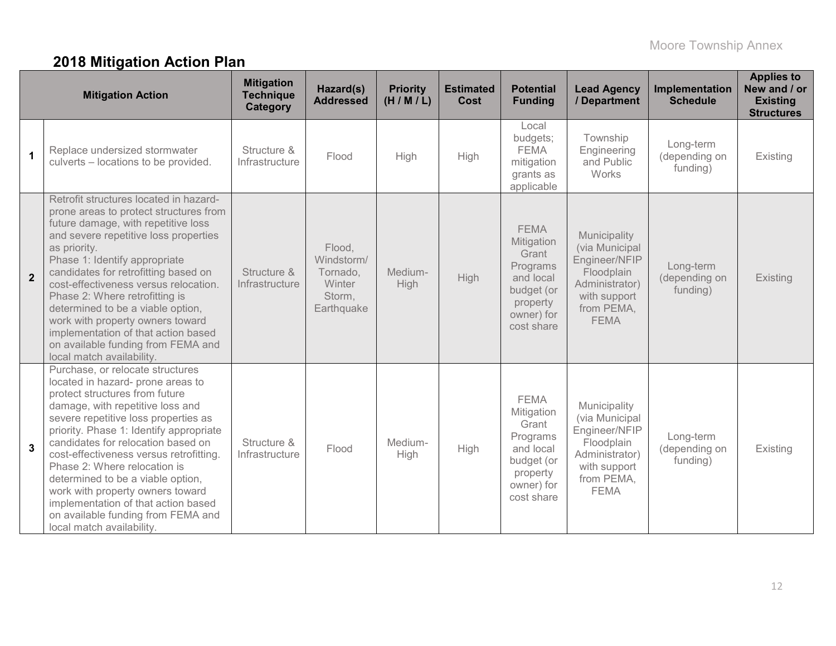# **2018 Mitigation Action Plan**

|                | <b>Mitigation Action</b>                                                                                                                                                                                                                                                                                                                                                                                                                                                                                                           | <b>Mitigation</b><br><b>Technique</b><br>Category | Hazard(s)<br><b>Addressed</b>                                      | <b>Priority</b><br>(H/M/L) | <b>Estimated</b><br>Cost | <b>Potential</b><br><b>Funding</b>                                                                                | <b>Lead Agency</b><br>/ Department                                                                                           | Implementation<br><b>Schedule</b>      | <b>Applies to</b><br>New and / or<br><b>Existing</b><br><b>Structures</b> |
|----------------|------------------------------------------------------------------------------------------------------------------------------------------------------------------------------------------------------------------------------------------------------------------------------------------------------------------------------------------------------------------------------------------------------------------------------------------------------------------------------------------------------------------------------------|---------------------------------------------------|--------------------------------------------------------------------|----------------------------|--------------------------|-------------------------------------------------------------------------------------------------------------------|------------------------------------------------------------------------------------------------------------------------------|----------------------------------------|---------------------------------------------------------------------------|
| $\mathbf{1}$   | Replace undersized stormwater<br>culverts - locations to be provided.                                                                                                                                                                                                                                                                                                                                                                                                                                                              | Structure &<br>Infrastructure                     | Flood                                                              | High                       | High                     | Local<br>budgets;<br><b>FEMA</b><br>mitigation<br>grants as<br>applicable                                         | Township<br>Engineering<br>and Public<br>Works                                                                               | Long-term<br>(depending on<br>funding) | Existing                                                                  |
| $\overline{2}$ | Retrofit structures located in hazard-<br>prone areas to protect structures from<br>future damage, with repetitive loss<br>and severe repetitive loss properties<br>as priority.<br>Phase 1: Identify appropriate<br>candidates for retrofitting based on<br>cost-effectiveness versus relocation.<br>Phase 2: Where retrofitting is<br>determined to be a viable option,<br>work with property owners toward<br>implementation of that action based<br>on available funding from FEMA and<br>local match availability.            | Structure &<br>Infrastructure                     | Flood,<br>Windstorm/<br>Tornado,<br>Winter<br>Storm,<br>Earthquake | Medium-<br><b>High</b>     | <b>High</b>              | <b>FEMA</b><br>Mitigation<br>Grant<br>Programs<br>and local<br>budget (or<br>property<br>owner) for<br>cost share | Municipality<br>(via Municipal<br>Engineer/NFIP<br>Floodplain<br>Administrator)<br>with support<br>from PEMA,<br><b>FEMA</b> | Long-term<br>(depending on<br>funding) | Existing                                                                  |
| $\mathbf{3}$   | Purchase, or relocate structures<br>located in hazard- prone areas to<br>protect structures from future<br>damage, with repetitive loss and<br>severe repetitive loss properties as<br>priority. Phase 1: Identify appropriate<br>candidates for relocation based on<br>cost-effectiveness versus retrofitting.<br>Phase 2: Where relocation is<br>determined to be a viable option,<br>work with property owners toward<br>implementation of that action based<br>on available funding from FEMA and<br>local match availability. | Structure &<br>Infrastructure                     | Flood                                                              | Medium-<br>High            | High                     | <b>FEMA</b><br>Mitigation<br>Grant<br>Programs<br>and local<br>budget (or<br>property<br>owner) for<br>cost share | Municipality<br>(via Municipal<br>Engineer/NFIP<br>Floodplain<br>Administrator)<br>with support<br>from PEMA,<br><b>FEMA</b> | Long-term<br>(depending on<br>funding) | Existing                                                                  |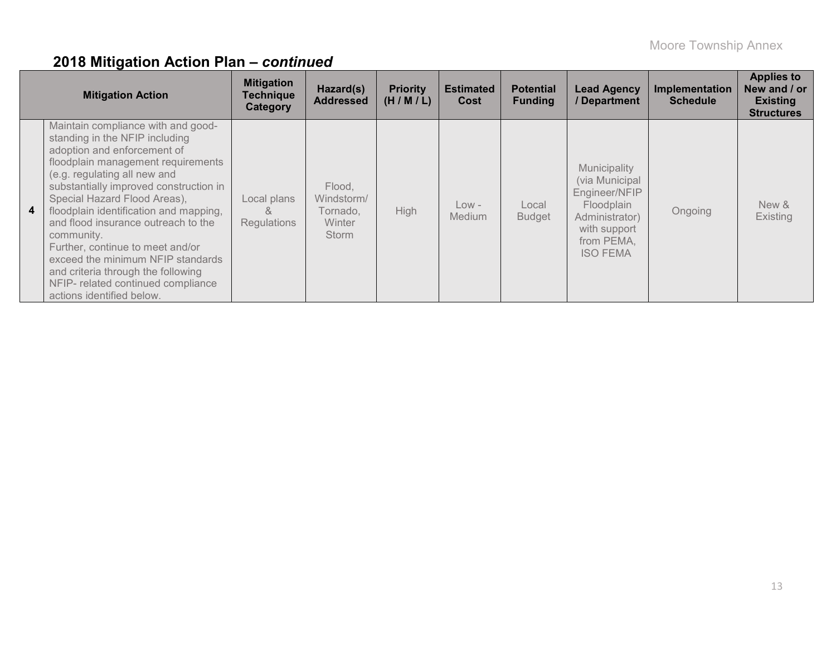|                | <b>Mitigation Action</b>                                                                                                                                                                                                                                                                                                                                                                                                                                                                                                             | <b>Mitigation</b><br><b>Technique</b><br>Category | Hazard(s)<br><b>Addressed</b>                              | <b>Priority</b><br>(H/M/L) | <b>Estimated</b><br>Cost | <b>Potential</b><br><b>Funding</b> | <b>Lead Agency</b><br>/ Department                                                                                               | <b>Implementation</b><br><b>Schedule</b> | <b>Applies to</b><br>New and / or<br><b>Existing</b><br><b>Structures</b> |
|----------------|--------------------------------------------------------------------------------------------------------------------------------------------------------------------------------------------------------------------------------------------------------------------------------------------------------------------------------------------------------------------------------------------------------------------------------------------------------------------------------------------------------------------------------------|---------------------------------------------------|------------------------------------------------------------|----------------------------|--------------------------|------------------------------------|----------------------------------------------------------------------------------------------------------------------------------|------------------------------------------|---------------------------------------------------------------------------|
| 4 <sup>1</sup> | Maintain compliance with and good-<br>standing in the NFIP including<br>adoption and enforcement of<br>floodplain management requirements<br>(e.g. regulating all new and<br>substantially improved construction in<br>Special Hazard Flood Areas),<br>floodplain identification and mapping,<br>and flood insurance outreach to the<br>community.<br>Further, continue to meet and/or<br>exceed the minimum NFIP standards<br>and criteria through the following<br>NFIP- related continued compliance<br>actions identified below. | Local plans<br>ă<br>Regulations                   | Flood,<br>Windstorm/<br>Tornado,<br>Winter<br><b>Storm</b> | High                       | Low -<br>Medium          | Local<br><b>Budget</b>             | Municipality<br>(via Municipal<br>Engineer/NFIP<br>Floodplain<br>Administrator)<br>with support<br>from PEMA,<br><b>ISO FEMA</b> | Ongoing                                  | New &<br><b>Existing</b>                                                  |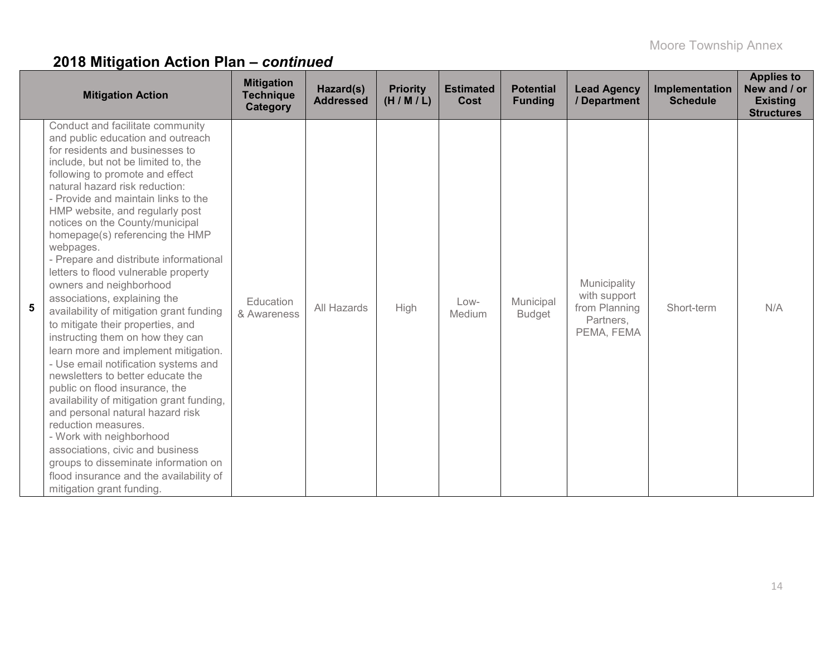| <b>Mitigation Action</b>                                                                                                                                                                                                                                                                                                                                                                                                                                                                                                                                                                                                                                                                                                                                                                                                                                                                                                                                                                                                                                                                                | <b>Mitigation</b><br><b>Technique</b><br><b>Category</b> | Hazard(s)<br><b>Addressed</b> | <b>Priority</b><br>(H/M/L) | <b>Estimated</b><br><b>Cost</b> | <b>Potential</b><br><b>Funding</b> | <b>Lead Agency</b><br>/ Department                                       | Implementation<br><b>Schedule</b> | <b>Applies to</b><br>New and / or<br><b>Existing</b><br><b>Structures</b> |
|---------------------------------------------------------------------------------------------------------------------------------------------------------------------------------------------------------------------------------------------------------------------------------------------------------------------------------------------------------------------------------------------------------------------------------------------------------------------------------------------------------------------------------------------------------------------------------------------------------------------------------------------------------------------------------------------------------------------------------------------------------------------------------------------------------------------------------------------------------------------------------------------------------------------------------------------------------------------------------------------------------------------------------------------------------------------------------------------------------|----------------------------------------------------------|-------------------------------|----------------------------|---------------------------------|------------------------------------|--------------------------------------------------------------------------|-----------------------------------|---------------------------------------------------------------------------|
| Conduct and facilitate community<br>and public education and outreach<br>for residents and businesses to<br>include, but not be limited to, the<br>following to promote and effect<br>natural hazard risk reduction:<br>- Provide and maintain links to the<br>HMP website, and regularly post<br>notices on the County/municipal<br>homepage(s) referencing the HMP<br>webpages.<br>- Prepare and distribute informational<br>letters to flood vulnerable property<br>owners and neighborhood<br>associations, explaining the<br>5<br>availability of mitigation grant funding<br>to mitigate their properties, and<br>instructing them on how they can<br>learn more and implement mitigation.<br>- Use email notification systems and<br>newsletters to better educate the<br>public on flood insurance, the<br>availability of mitigation grant funding,<br>and personal natural hazard risk<br>reduction measures.<br>- Work with neighborhood<br>associations, civic and business<br>groups to disseminate information on<br>flood insurance and the availability of<br>mitigation grant funding. | Education<br>& Awareness                                 | All Hazards                   | High                       | $Low-$<br>Medium                | Municipal<br><b>Budget</b>         | Municipality<br>with support<br>from Planning<br>Partners,<br>PEMA, FEMA | Short-term                        | N/A                                                                       |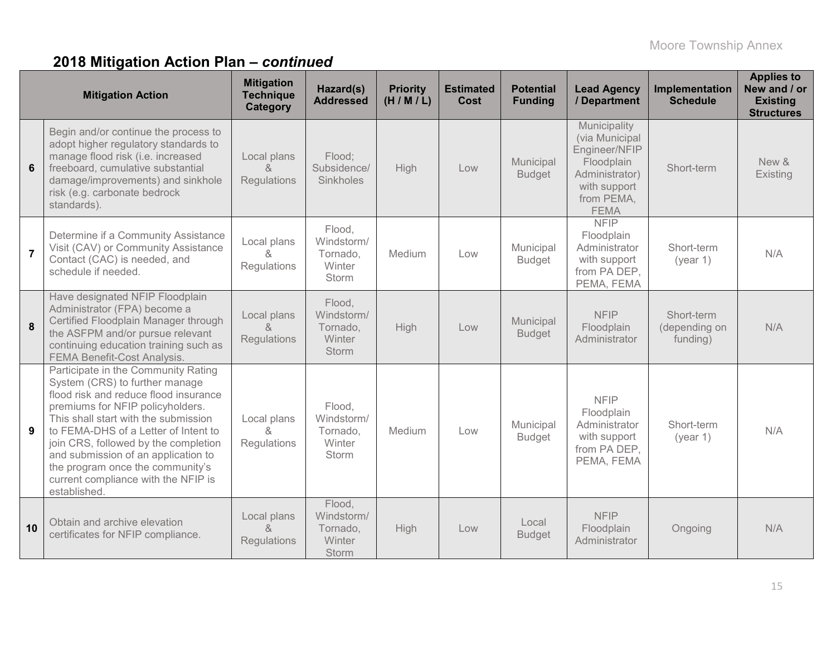|                | <b>Mitigation Action</b>                                                                                                                                                                                                                                                                                                                                                                                     | <b>Mitigation</b><br><b>Technique</b><br>Category | Hazard(s)<br><b>Addressed</b>                              | <b>Priority</b><br>(H/M/L) | <b>Estimated</b><br><b>Cost</b> | <b>Potential</b><br><b>Funding</b> | <b>Lead Agency</b><br>/ Department                                                                                           | Implementation<br><b>Schedule</b>       | <b>Applies to</b><br>New and / or<br><b>Existing</b><br><b>Structures</b> |
|----------------|--------------------------------------------------------------------------------------------------------------------------------------------------------------------------------------------------------------------------------------------------------------------------------------------------------------------------------------------------------------------------------------------------------------|---------------------------------------------------|------------------------------------------------------------|----------------------------|---------------------------------|------------------------------------|------------------------------------------------------------------------------------------------------------------------------|-----------------------------------------|---------------------------------------------------------------------------|
| 6              | Begin and/or continue the process to<br>adopt higher regulatory standards to<br>manage flood risk (i.e. increased<br>freeboard, cumulative substantial<br>damage/improvements) and sinkhole<br>risk (e.g. carbonate bedrock<br>standards).                                                                                                                                                                   | Local plans<br>$\alpha$<br>Regulations            | Flood;<br>Subsidence/<br>Sinkholes                         | High                       | Low                             | Municipal<br><b>Budget</b>         | Municipality<br>(via Municipal<br>Engineer/NFIP<br>Floodplain<br>Administrator)<br>with support<br>from PEMA,<br><b>FEMA</b> | Short-term                              | New &<br>Existing                                                         |
| $\overline{7}$ | Determine if a Community Assistance<br>Visit (CAV) or Community Assistance<br>Contact (CAC) is needed, and<br>schedule if needed.                                                                                                                                                                                                                                                                            | Local plans<br>&<br>Regulations                   | Flood,<br>Windstorm/<br>Tornado,<br>Winter<br>Storm        | Medium                     | Low                             | Municipal<br><b>Budget</b>         | <b>NFIP</b><br>Floodplain<br>Administrator<br>with support<br>from PA DEP,<br>PEMA, FEMA                                     | Short-term<br>(year 1)                  | N/A                                                                       |
| 8              | Have designated NFIP Floodplain<br>Administrator (FPA) become a<br>Certified Floodplain Manager through<br>the ASFPM and/or pursue relevant<br>continuing education training such as<br><b>FEMA Benefit-Cost Analysis.</b>                                                                                                                                                                                   | Local plans<br>&<br>Regulations                   | Flood,<br>Windstorm/<br>Tornado,<br>Winter<br>Storm        | High                       | Low                             | Municipal<br><b>Budget</b>         | <b>NFIP</b><br>Floodplain<br>Administrator                                                                                   | Short-term<br>(depending on<br>funding) | N/A                                                                       |
| 9              | Participate in the Community Rating<br>System (CRS) to further manage<br>flood risk and reduce flood insurance<br>premiums for NFIP policyholders.<br>This shall start with the submission<br>to FEMA-DHS of a Letter of Intent to<br>join CRS, followed by the completion<br>and submission of an application to<br>the program once the community's<br>current compliance with the NFIP is<br>established. | Local plans<br>x.<br>Regulations                  | Flood,<br>Windstorm/<br>Tornado,<br>Winter<br>Storm        | Medium                     | Low                             | Municipal<br><b>Budget</b>         | <b>NFIP</b><br>Floodplain<br>Administrator<br>with support<br>from PA DEP,<br>PEMA, FEMA                                     | Short-term<br>(year 1)                  | N/A                                                                       |
| 10             | Obtain and archive elevation<br>certificates for NFIP compliance.                                                                                                                                                                                                                                                                                                                                            | Local plans<br>$\alpha$<br>Regulations            | Flood,<br>Windstorm/<br>Tornado,<br><b>Winter</b><br>Storm | High                       | Low                             | Local<br><b>Budget</b>             | <b>NFIP</b><br>Floodplain<br>Administrator                                                                                   | Ongoing                                 | N/A                                                                       |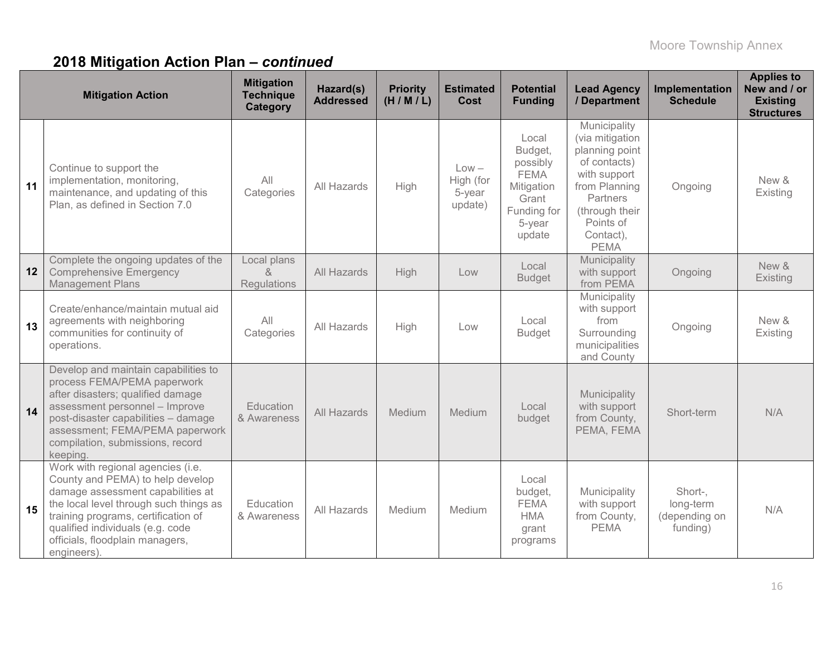|                  | <b>Mitigation Action</b>                                                                                                                                                                                                                                                          | <b>Mitigation</b><br><b>Technique</b><br>Category | Hazard(s)<br><b>Addressed</b> | <b>Priority</b><br>(H/M/L) | <b>Estimated</b><br>Cost                  | <b>Potential</b><br><b>Funding</b>                                                                    | <b>Lead Agency</b><br>/ Department                                                                                                                                        | Implementation<br><b>Schedule</b>                 | <b>Applies to</b><br>New and / or<br><b>Existing</b><br><b>Structures</b> |
|------------------|-----------------------------------------------------------------------------------------------------------------------------------------------------------------------------------------------------------------------------------------------------------------------------------|---------------------------------------------------|-------------------------------|----------------------------|-------------------------------------------|-------------------------------------------------------------------------------------------------------|---------------------------------------------------------------------------------------------------------------------------------------------------------------------------|---------------------------------------------------|---------------------------------------------------------------------------|
| 11               | Continue to support the<br>implementation, monitoring,<br>maintenance, and updating of this<br>Plan, as defined in Section 7.0                                                                                                                                                    | All<br>Categories                                 | All Hazards                   | High                       | $Low -$<br>High (for<br>5-year<br>update) | Local<br>Budget,<br>possibly<br><b>FEMA</b><br>Mitigation<br>Grant<br>Funding for<br>5-year<br>update | Municipality<br>(via mitigation<br>planning point<br>of contacts)<br>with support<br>from Planning<br>Partners<br>(through their<br>Points of<br>Contact),<br><b>PEMA</b> | Ongoing                                           | New &<br>Existing                                                         |
| 12 <sup>12</sup> | Complete the ongoing updates of the<br><b>Comprehensive Emergency</b><br><b>Management Plans</b>                                                                                                                                                                                  | Local plans<br>$\lambda$<br>Regulations           | All Hazards                   | High                       | Low                                       | Local<br><b>Budget</b>                                                                                | Municipality<br>with support<br>from PEMA                                                                                                                                 | Ongoing                                           | New &<br>Existing                                                         |
| 13               | Create/enhance/maintain mutual aid<br>agreements with neighboring<br>communities for continuity of<br>operations.                                                                                                                                                                 | All<br>Categories                                 | All Hazards                   | High                       | Low                                       | Local<br><b>Budget</b>                                                                                | Municipality<br>with support<br>from<br>Surrounding<br>municipalities<br>and County                                                                                       | Ongoing                                           | New &<br>Existing                                                         |
| 14               | Develop and maintain capabilities to<br>process FEMA/PEMA paperwork<br>after disasters; qualified damage<br>assessment personnel - Improve<br>post-disaster capabilities - damage<br>assessment; FEMA/PEMA paperwork<br>compilation, submissions, record<br>keeping.              | Education<br>& Awareness                          | All Hazards                   | Medium                     | Medium                                    | Local<br>budget                                                                                       | Municipality<br>with support<br>from County,<br>PEMA, FEMA                                                                                                                | Short-term                                        | N/A                                                                       |
| 15               | Work with regional agencies (i.e.<br>County and PEMA) to help develop<br>damage assessment capabilities at<br>the local level through such things as<br>training programs, certification of<br>qualified individuals (e.g. code<br>officials, floodplain managers,<br>engineers). | Education<br>& Awareness                          | All Hazards                   | Medium                     | Medium                                    | Local<br>budget,<br><b>FEMA</b><br><b>HMA</b><br>grant<br>programs                                    | Municipality<br>with support<br>from County,<br><b>PEMA</b>                                                                                                               | Short-,<br>long-term<br>(depending on<br>funding) | N/A                                                                       |